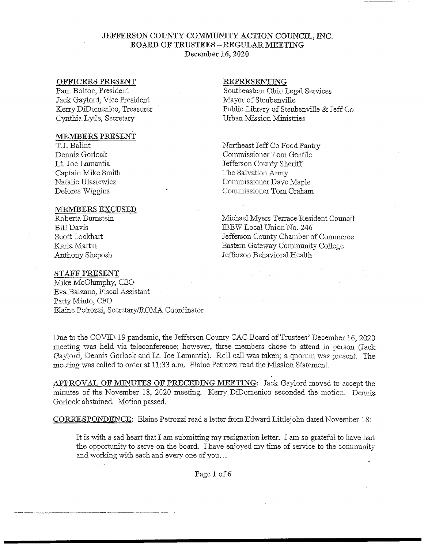## JEFFERSON COUNTY COMMUNITY ACTION COUNCIL, INC. BOARD OF TRUSTEES - REGULAR MEETING December 16,2020

### OFFICERS PRESENT

Pam Bolton, President Jack Gaylord, Vice President Kerry DiDomenico, Treasurer Cynthia Lytle, Secretary

## MEMBERS PRESENT

T.J. Balint Dennis Gorlock Lt. Joe Lamantia Captain Mike Smith Natalie Ulasiewicz Delores Wiggins

### MEMBERS EXCUSED

Roberta Bumstein Bill Davis Scott Lockhart Karla Martin Anthony Sheposh

# STAFF PRESENT

Mike McGlumphy, CEO Eva Balzano, Fiscal Assistant Patty Minto, CFO Elaine Petrozzi, Secretary/ROMA Coordinator

#### REPRESENTING

Southeastern Ohio Legal Services Mayor of Steubenville Public Library of Steubenville & Jeff Co Urban Mission Ministries

Northeast Jeff Co Food Pantry Commissioner Tom Gentile Jefferson County Sheriff The Salvation Army Commissioner Dave Maple Commissioner Tom Graham

Michael Myers Terrace Resident Council JBEW Local Union No. 246 Jefferson County Chamber of Commerce Eastern Gateway Community College Jefferson Behavioral Health

Due to the COVID-19 pandemic, the Jefferson County CAC Board of Trustees' December 16, 2020 meeting was held via teleconference; however, three members chose to attend in person (Jack Gaylord, Dennis Gorlock and Lt Joe Lamantia). Roll call was taken; a quorum was present. The meeting was called to order at 11:33 a.m. Elaine Petrozzi read the Mission Statement

APPROVAL OF MINUTES OF PRECEDING MEETING: Jack Gaylord moved to accept the minutes of the November 18, 2020 meeting. Kerry DiDomenico seconded the motion. Dennis Gorlock abstained. Motion passed.

CORRESPONDENCE: Elaine Petrozzi read a letter from Edward Littlejohn dated November 18:

It is with a sad heart that I am submitting my resignation letter. I am so grateful to have had the opportunity to serve on the board. I have enjoyed my time of service to the community and working with each and every one of you,..

Page 1 of*6*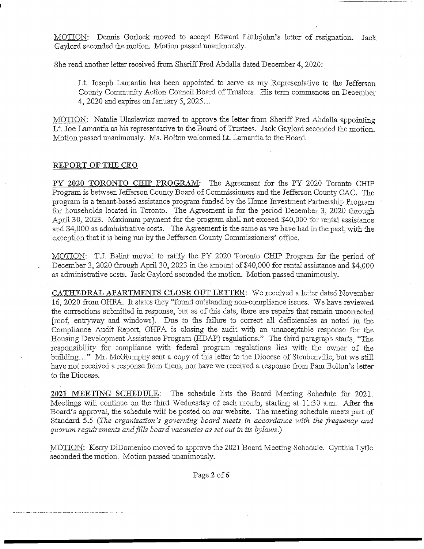MOTION: Dennis Gorlock moved to accept Edward Littlejohn's letter of resignation. Jack Gaylord seconded the motion. Motion passed unanimously.

She read another letter received from Sheriff Fred Abdalla dated December 4,2020:

Lt. Joseph Lamantia has been appointed to serve as my Representative to the Jefferson County Community Action Council Board of Trustees. His term commences on December 4, 2020 and expires on January *5,2025...*

MOTION: Natalie Ulasiewicz moved to approve the letter from Sheriff Fred Abdalla appointing Lt. Joe Lamantia as his representative to the Board of Trustees. Jack Gaylord seconded the motion. Motion passed unanimously. Ms. Bolton welcomed Lt Lamantia to the Board.

### REPORT OF THE CEO

PY 2020 TORONTO CHIP PROGRAM: The Agreement for the PY 2020 Toronto CHIP Program is between Jefferson County Board of Commissioners and the Jefferson County CAC. The program is a tenant-based assistance program funded by the Home Investment Partnership Program for households located in Toronto. The Agreement is for the period December 3, 2020 through April 30, 2023. Maximum payment for the program shall not exceed \$40,000 for rental assistance and \$4,000 as administrative costs. The Agreement is the same as we have had in the past, with the exception that it is being run by the Jefferson County Commissioners' office.

MOTION: TJ. Balint moved to ratify the PY 2020 Toronto CHIP Program for the period of December 3, 2020 through April 30, 2023 in the amount of \$40,000 for rental assistance and \$4,000 as administrative costs. Jack Gaylord seconded the motion. Motion passed unanimously.

CATHEDRAL APARTMENTS CLOSE OUT LETTER: We received a letter dated November 16, 2020 from OHFA. It states they "found outstanding non-compliance issues. We have reviewed the corrections submitted in response, but as of this date, there are repairs that remain uncorrected [roof, entryway and windows]. Due to the failure to correct all deficiencies as noted in the Compliance Audit Report, OHFA is closing the audit with an unacceptable response for the Housing Development Assistance Program (HDAP) regulations." The third paragraph starts, "The responsibility for compliance with federal program regulations lies with the owner of the building-.." Mr. McGlumphy sent a copy of this letter to the Diocese of Steubenville, but we still have not received a response from them, nor have we received a response from Pam Bolton's letter to the Diocese.

2021 MEETING SCHEDULE: The schedule lists the Board Meeting Schedule for 2021. Meetings will continue on the third Wednesday of each month, starting at 11:30 a.m. After the Board's approval, the schedule will be posted on our website. The meeting schedule meets part of Standard 5.5 (The organization's governing board meets in accordance with the frequency and *quorum requirements and fills board vacancies as set out in its bylaws?)*

MOTION: Kerry DiDomenico moved to approve the 2021 Board Meeting Schedule. Cynthia Lytle seconded the motion. Motion passed unanimously.

Page 2 of *6*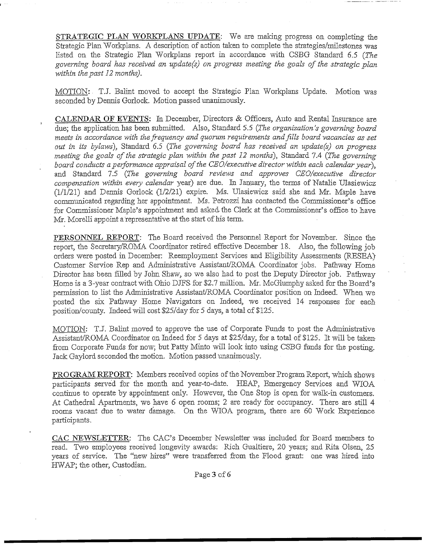STRATEGIC PLAN WORKPLANS UPDATE: We are making progress on completing the Strategic Plan Workplans. A description of action taken to complete the strategies/milestones was listed on the Strategic Plan Workplans report in accordance with CSBG Standard 6.5 *(The governing board has received an update(s) on progress meeting the goals of the strategic plan -within the past 12 months).*

MOTION: TJ. Balint moved to accept the Strategic Plan Workplans Update. Motion was seconded by Dennis Gorlock. Motion passed unanimously.

CALENDAR **OF** EVENTS; In December, Directors & Officers, Auto and Rental Insurance are due; the application has been submitted. Also, Standard 5.5 (The organization's governing board meets in accordance with the frequency and quorum requirements and fills board vacancies as set *out in its bylaws),* Standard 6.5 *(The governing board has received an update(s) on progress, meeting the goals of the strategic plan within the past 12 months)*, Standard 7.4 (The governing *board conducts a performance appraisal of the CEO/executive director-within each calendar year),* and Standard 7.5 *(The governing board reviews and approves CEO/executive director compensation within every calendar* year) are due. In January, the terms of Natalie Ulasiewicz (1/1/21) and Dennis Gorlock (1/2/21) expire. Ms, Ulasiewicz said she and Mr. Maple have communicated regarding her appointment. Ms. Petrozzi has contacted the Commissioner's office for Commissioner Maple's appointment and asked the Clerk at the Commissioner's office to have Mr. Morelli appoint a representative at the start of his term.

PERSONNEL REPORT: The Board received the Personnel Report for November. Since the report, the Secretary/ROMA Coordinator retired effective December IS. Also, the following job orders were posted in December: Reemployment Services and Eligibility Assessments (RESEA) Customer Service Rep and Administrative Assistant/ROMA Coordinator jobs. Pathway Home Director has been filled by John Shaw, so we also had to post the Deputy Director job. Pathway Home is a 3-year contract with Ohio DJFS for \$2.7 million. Mr. McGlumphy asked for the Board's permission to list the Administrative Assistant/ROMA Coordinator position on Indeed. When we posted the six Pathway Home Navigators on Indeed, we received 14 responses for each position/county. Indeed will cost \$25/day for 5 days, a total of \$125.

MOTION: TJ. Balint moved to approve the use of Corporate Funds to post the Administrative Assistant/ROMA Coordinator on Indeed for 5 days at \$25/day, for a total of \$125. It will be takenfrom Corporate Funds for now; but Patty Minto will look into using CSBG funds for the posting. Jack Gaylord seconded the motion. Motion passed unanimously.

PROGRAM REPORT: Members received copies of the November Program Report, which shows participants served for the month and year-to-date. HEAP, Emergency Services and WIOA continue to operate by appointment only. However, the One Stop is open for walk-in customers. At Cathedral Apartments., we have 6 open rooms; 2 are ready for occupancy. There are still 4 rooms vacant due to water damage. On the WIOA program, there are 60 Work Experience participants.

CAC NEWSLETTER: The CAC's December Newsletter was included for Board members to read. Two employees received longevity awards: Rich Gualtiere, 20 years; and Rita Olsen, 25 years of service. The "new hires" were transferred from the Flood grant: one was hired into HWAP; the other, Custodian.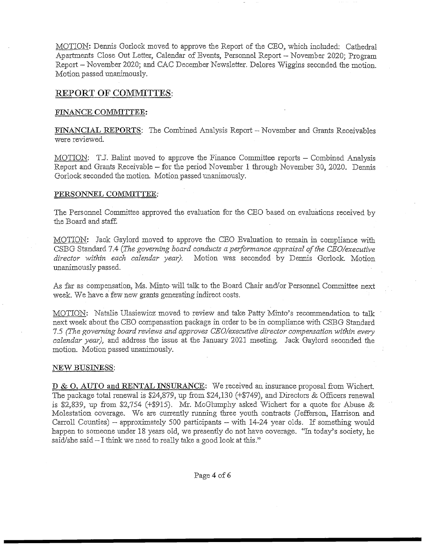MOTION: Dennis Gorlock moved to approve the Report of the CEO, which included: Cathedral Apartments Close Out Letter, Calendar of Events, Personnel Report — November 2020; Program Report - November 2020; and CAC December Newsletter. Delores Wiggins seconded the motion. Motion passed unanimously.

# **REPORT OF COMMITTES:**

# FINANCE COMMITTEE:

FINANCIAL REPORTS: The Combined Analysis Report - November and Grants Receivables were reviewed

MOTION; T.J. Balint moved to approve the Finance Committee reports - Combined Analysis Report and Grants Receivable - for the period November 1 through November 30, 2020. Dennis Gorlock seconded the motion. Motion passed unanimously.

### **PERSONNEL COMMITTEE:**

The Personnel Committee approved the evaluation for the CEO based on evaluations received by the Board and staff.

MOTION: Jack Gaylord moved to approve the CEO Evaluation to remain in compliance with CSBG Standard 7.4 *(The governing board conducts a performance appraisal of the CEO/executive* director within each calendar year). Motion was seconded by Dennis Gorlock. Motion unanimously passed.

As far as compensation., Ms. Minto-will talk to the Board Chair and/or Personnel Committee next week. We have a few new grants generating indirect costs.

MOTION: Natalie Ulasiewicz moved to review and take Patty Minto's recommendation to talk next week about the CEO compensation package in order to be in compliance with CSBG Standard 7.5 *(The governing board reviews and approves CEO/executive director compensation •within every calendar year),* and address the issue at the January 2021 meeting. Jack Gaylord seconded the motion. Motion passed unanimously.

### NEW BUSINESS:

D & O, AUTO and RENTAL INSURANCE: We received an insurance proposal from Wichert, The package total renewal is \$24,879, up from \$24,130 (+\$749), and Directors & Officers renewal is \$2,839, up from \$2,754 (+\$915). Mr. McGlumphy asked Wichert for a quote for Abuse & Molestation coverage. We are currently running three youth contracts (Jefferson, Harrison and Carroll Counties) — approximately 500 participants — with 14-24 year olds. If something would happen to someone under 18 years old, we presently do not have coverage. "In today's society, he said/she said — I think we need to really take a good look at this."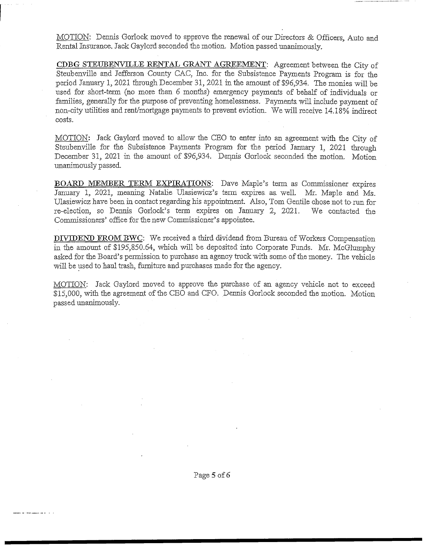MOTION: Dennis Gorlock moved to approve the renewal of our Directors & Officers, Auto and Rental Insurance. Jack Gaylord seconded the motion. Motion passed unanimously.

CDBG STEUBENVILLE RENTAL GRANT AGREEMENT: Agreement between the City of Steubenville and Jefferson County CAC, Inc. for the Subsistence Payments Program is for the period January 1, 2021 through December 31, 2021 in the amount of \$96,934. The monies will be used for short-term (no more than 6 months) emergency payments of behalf of individuals or families, generally for the purpose of preventing homelessness. Payments will include payment of non-city utilities and rent/mortgage payments to prevent eviction. We will receive 14.18% indirect costs.

MOTION: Jack Gaylord moved to allow the CEO to enter into an agreement with the City of Steubenville for the Subsistence Payments Program for the period January 1, 2021 through December 31, 2021 in the amount of \$96,934. Dennis Gorlock seconded the motion. Motion unanimously passed.

BOARD MEMBER TERM EXPIRATIONS: Dave Maple's term as Commissioner expires January 1, 2021, meaning Natalie Ulasiewicz's term expires, as, well. Mr. Maple and Ms. Ulasiewicz have been in contact regarding his appointment. Also, Tom Gentile chose not to- run for re-election, so Dennis Gorlock's term expires on January 2, 2021. We contacted the Commissioners' office for the new Commissioner's appointee.

DIVIDEND FROM BWC: We received a third dividend from Bureau of Workers Compensation in the amount of \$195,850.64, which will be deposited into Corporate Funds. Mr. McGlumphy asked for the Board's permission to purchase an agency truck with some of the money. The vehicle will be used to haul trash, furniture and purchases made for the agency.

MOTION: Jack Gaylord moved to approve the purchase of an agency vehicle not to exceed \$15,000, with the agreement of the CEO and CFO. Dennis Gorlock seconded the motion. Motion passed unanimously.